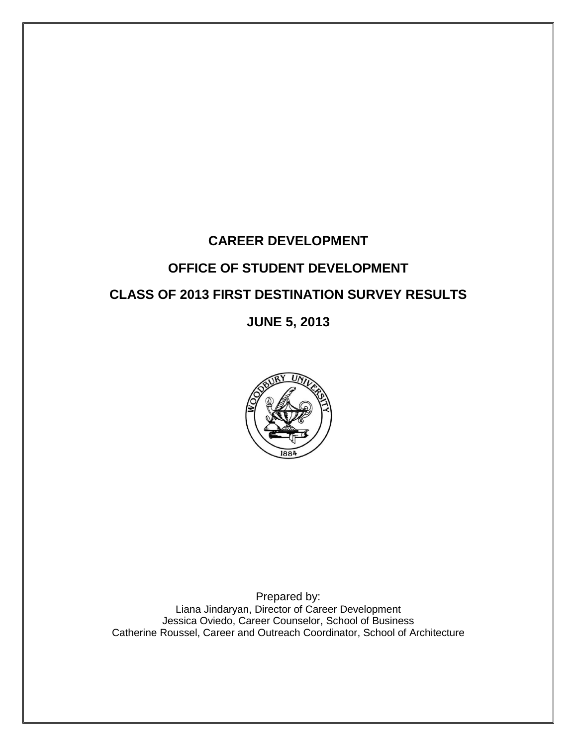# **CAREER DEVELOPMENT OFFICE OF STUDENT DEVELOPMENT CLASS OF 2013 FIRST DESTINATION SURVEY RESULTS**

## **JUNE 5, 2013**



Prepared by: Liana Jindaryan, Director of Career Development Jessica Oviedo, Career Counselor, School of Business Catherine Roussel, Career and Outreach Coordinator, School of Architecture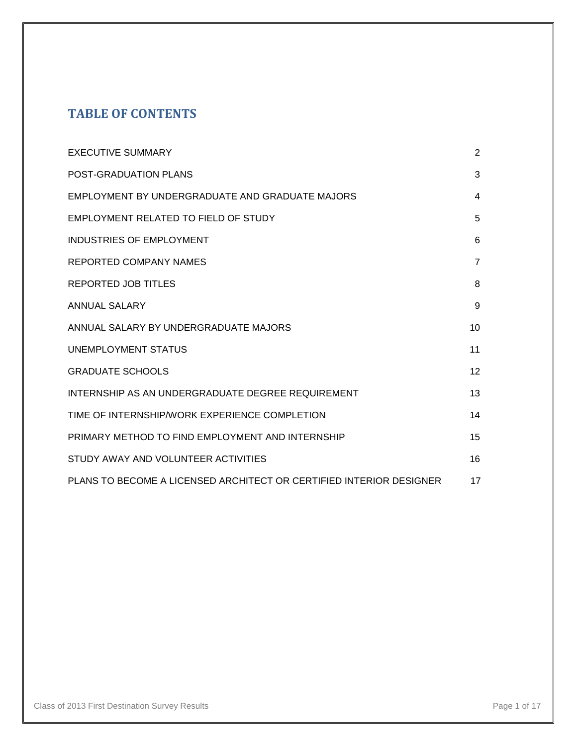## **TABLE OF CONTENTS**

| <b>EXECUTIVE SUMMARY</b>                                            | $\overline{2}$ |
|---------------------------------------------------------------------|----------------|
| POST-GRADUATION PLANS                                               | 3              |
| EMPLOYMENT BY UNDERGRADUATE AND GRADUATE MAJORS                     | 4              |
| EMPLOYMENT RELATED TO FIELD OF STUDY                                | 5              |
| <b>INDUSTRIES OF EMPLOYMENT</b>                                     | 6              |
| REPORTED COMPANY NAMES                                              | $\overline{7}$ |
| <b>REPORTED JOB TITLES</b>                                          | 8              |
| <b>ANNUAL SALARY</b>                                                | 9              |
| ANNUAL SALARY BY UNDERGRADUATE MAJORS                               | 10             |
| UNEMPLOYMENT STATUS                                                 | 11             |
| <b>GRADUATE SCHOOLS</b>                                             | 12             |
| INTERNSHIP AS AN UNDERGRADUATE DEGREE REQUIREMENT                   | 13             |
| TIME OF INTERNSHIP/WORK EXPERIENCE COMPLETION                       | 14             |
| PRIMARY METHOD TO FIND EMPLOYMENT AND INTERNSHIP                    | 15             |
| STUDY AWAY AND VOLUNTEER ACTIVITIES                                 | 16             |
| PLANS TO BECOME A LICENSED ARCHITECT OR CERTIFIED INTERIOR DESIGNER | 17             |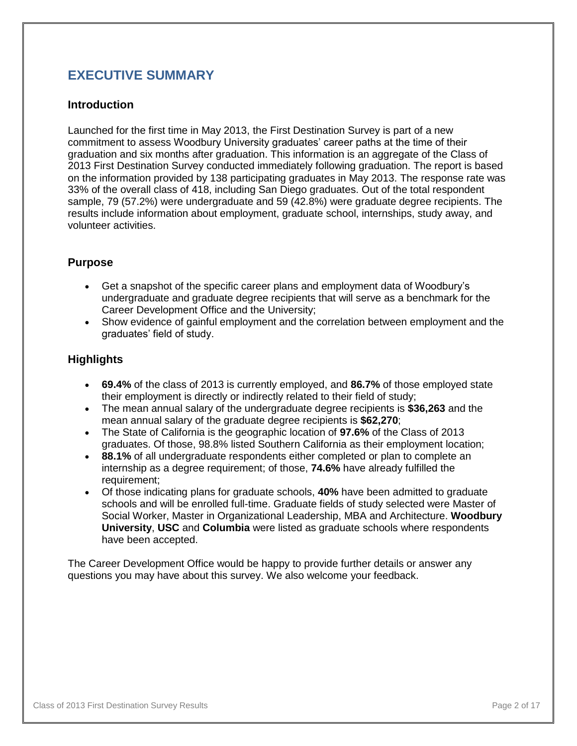## **EXECUTIVE SUMMARY**

#### **Introduction**

Launched for the first time in May 2013, the First Destination Survey is part of a new commitment to assess Woodbury University graduates' career paths at the time of their graduation and six months after graduation. This information is an aggregate of the Class of 2013 First Destination Survey conducted immediately following graduation. The report is based on the information provided by 138 participating graduates in May 2013. The response rate was 33% of the overall class of 418, including San Diego graduates. Out of the total respondent sample, 79 (57.2%) were undergraduate and 59 (42.8%) were graduate degree recipients. The results include information about employment, graduate school, internships, study away, and volunteer activities.

#### **Purpose**

- Get a snapshot of the specific career plans and employment data of Woodbury's undergraduate and graduate degree recipients that will serve as a benchmark for the Career Development Office and the University;
- Show evidence of gainful employment and the correlation between employment and the graduates' field of study.

#### **Highlights**

- **69.4%** of the class of 2013 is currently employed, and **86.7%** of those employed state their employment is directly or indirectly related to their field of study;
- The mean annual salary of the undergraduate degree recipients is **\$36,263** and the mean annual salary of the graduate degree recipients is **\$62,270**;
- The State of California is the geographic location of **97.6%** of the Class of 2013 graduates. Of those, 98.8% listed Southern California as their employment location;
- **88.1%** of all undergraduate respondents either completed or plan to complete an internship as a degree requirement; of those, **74.6%** have already fulfilled the requirement;
- Of those indicating plans for graduate schools, **40%** have been admitted to graduate schools and will be enrolled full-time. Graduate fields of study selected were Master of Social Worker, Master in Organizational Leadership, MBA and Architecture. **Woodbury University**, **USC** and **Columbia** were listed as graduate schools where respondents have been accepted.

The Career Development Office would be happy to provide further details or answer any questions you may have about this survey. We also welcome your feedback.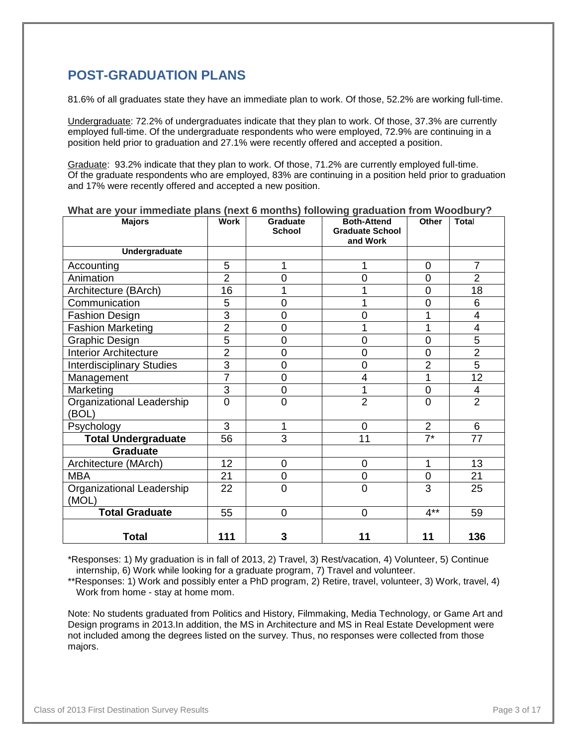## **POST-GRADUATION PLANS**

81.6% of all graduates state they have an immediate plan to work. Of those, 52.2% are working full-time.

Undergraduate: 72.2% of undergraduates indicate that they plan to work. Of those, 37.3% are currently employed full-time. Of the undergraduate respondents who were employed, 72.9% are continuing in a position held prior to graduation and 27.1% were recently offered and accepted a position.

Graduate: 93.2% indicate that they plan to work. Of those, 71.2% are currently employed full-time. Of the graduate respondents who are employed, 83% are continuing in a position held prior to graduation and 17% were recently offered and accepted a new position.

| <b>Majors</b>                      | <b>Work</b>    | Graduate<br><b>School</b> | J J<br><b>Both-Attend</b><br><b>Graduate School</b><br>and Work | Other          | Total                    |
|------------------------------------|----------------|---------------------------|-----------------------------------------------------------------|----------------|--------------------------|
| Undergraduate                      |                |                           |                                                                 |                |                          |
| Accounting                         | 5              | 1                         | 1                                                               | $\mathbf 0$    | $\overline{7}$           |
| Animation                          | $\overline{2}$ | 0                         | $\overline{0}$                                                  | 0              | $\overline{2}$           |
| Architecture (BArch)               | 16             |                           |                                                                 | $\overline{0}$ | 18                       |
| Communication                      | 5              | 0                         |                                                                 | $\overline{0}$ | 6                        |
| <b>Fashion Design</b>              | 3              | $\overline{0}$            | 0                                                               | 1              | $\overline{4}$           |
| <b>Fashion Marketing</b>           | $\overline{2}$ | $\overline{0}$            |                                                                 | 1              | $\overline{\mathcal{A}}$ |
| Graphic Design                     | 5              | $\overline{0}$            | 0                                                               | $\overline{0}$ | 5                        |
| <b>Interior Architecture</b>       | $\overline{2}$ | $\overline{0}$            | 0                                                               | 0              | $\overline{2}$           |
| <b>Interdisciplinary Studies</b>   | $\overline{3}$ | $\overline{0}$            | 0                                                               | $\overline{2}$ | $\overline{5}$           |
| Management                         | $\overline{7}$ | $\overline{0}$            | 4                                                               | 1              | 12                       |
| Marketing                          | 3              | $\overline{0}$            | 1                                                               | $\overline{0}$ | 4                        |
| Organizational Leadership<br>(BOL) | 0              | $\overline{0}$            | $\overline{2}$                                                  | $\overline{0}$ | $\overline{2}$           |
| Psychology                         | $\overline{3}$ | 1                         | 0                                                               | $\overline{2}$ | 6                        |
| <b>Total Undergraduate</b>         | 56             | 3                         | 11                                                              | $7^*$          | 77                       |
| <b>Graduate</b>                    |                |                           |                                                                 |                |                          |
| Architecture (MArch)               | 12             | $\overline{0}$            | 0                                                               | 1              | 13                       |
| <b>MBA</b>                         | 21             | $\overline{0}$            | 0                                                               | $\overline{0}$ | 21                       |
| Organizational Leadership<br>(MOL) | 22             | $\overline{0}$            | 0                                                               | 3              | 25                       |
| <b>Total Graduate</b>              | 55             | $\overline{0}$            | 0                                                               | $4***$         | 59                       |
| <b>Total</b>                       | 111            | 3                         | 11                                                              | 11             | 136                      |

**What are your immediate plans (next 6 months) following graduation from Woodbury?**

\*Responses: 1) My graduation is in fall of 2013, 2) Travel, 3) Rest/vacation, 4) Volunteer, 5) Continue internship, 6) Work while looking for a graduate program, 7) Travel and volunteer.

\*\*Responses: 1) Work and possibly enter a PhD program, 2) Retire, travel, volunteer, 3) Work, travel, 4) Work from home - stay at home mom.

Note: No students graduated from Politics and History, Filmmaking, Media Technology, or Game Art and Design programs in 2013.In addition, the MS in Architecture and MS in Real Estate Development were not included among the degrees listed on the survey. Thus, no responses were collected from those majors.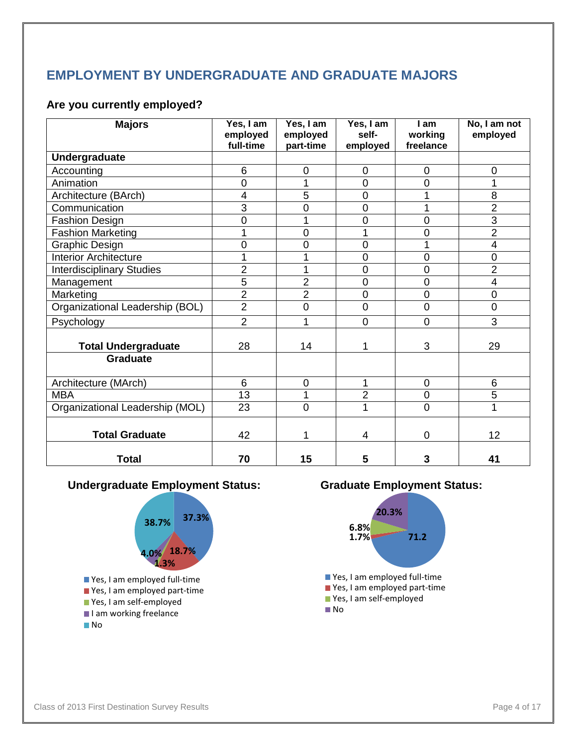## **EMPLOYMENT BY UNDERGRADUATE AND GRADUATE MAJORS**

### **Are you currently employed?**

| <b>Majors</b>                    | Yes, I am<br>employed<br>full-time | Yes, I am<br>employed<br>part-time | Yes, I am<br>self-<br>employed | I am<br>working<br>freelance | No, I am not<br>employed |
|----------------------------------|------------------------------------|------------------------------------|--------------------------------|------------------------------|--------------------------|
| Undergraduate                    |                                    |                                    |                                |                              |                          |
| Accounting                       | 6                                  | 0                                  | 0                              | $\overline{0}$               | 0                        |
| Animation                        | $\overline{0}$                     | 1                                  | 0                              | 0                            | 1                        |
| Architecture (BArch)             | $\overline{4}$                     | 5                                  | 0                              | 1                            | 8                        |
| Communication                    | $\overline{3}$                     | 0                                  | 0                              | 1                            | $\overline{2}$           |
| <b>Fashion Design</b>            | 0                                  | 1                                  | 0                              | 0                            | 3                        |
| <b>Fashion Marketing</b>         | 1                                  | $\overline{0}$                     |                                | 0                            | $\overline{2}$           |
| <b>Graphic Design</b>            | 0                                  | 0                                  | 0                              | 1                            | 4                        |
| <b>Interior Architecture</b>     | 1                                  | 1                                  | $\overline{0}$                 | $\overline{0}$               | $\overline{0}$           |
| <b>Interdisciplinary Studies</b> | $\overline{2}$                     | 1                                  | 0                              | 0                            | $\overline{2}$           |
| Management                       | 5                                  | $\overline{2}$                     | 0                              | 0                            | 4                        |
| Marketing                        | $\overline{2}$                     | $\overline{2}$                     | 0                              | 0                            | 0                        |
| Organizational Leadership (BOL)  | $\overline{2}$                     | $\overline{0}$                     | $\overline{0}$                 | $\overline{0}$               | 0                        |
| Psychology                       | $\overline{2}$                     | 1                                  | $\overline{0}$                 | $\mathbf 0$                  | 3                        |
| <b>Total Undergraduate</b>       | 28                                 | 14                                 | 1                              | 3                            | 29                       |
| <b>Graduate</b>                  |                                    |                                    |                                |                              |                          |
| Architecture (MArch)             | 6                                  | 0                                  | 1                              | $\mathbf 0$                  | 6                        |
| <b>MBA</b>                       | 13                                 | 1                                  | $\overline{2}$                 | 0                            | 5                        |
| Organizational Leadership (MOL)  | 23                                 | $\overline{0}$                     | 1                              | $\overline{0}$               | 1                        |
| <b>Total Graduate</b>            | 42                                 | 1                                  | 4                              | 0                            | 12                       |
| <b>Total</b>                     | 70                                 | 15                                 | 5                              | 3                            | 41                       |

### **Undergraduate Employment Status: Graduate Employment Status:**



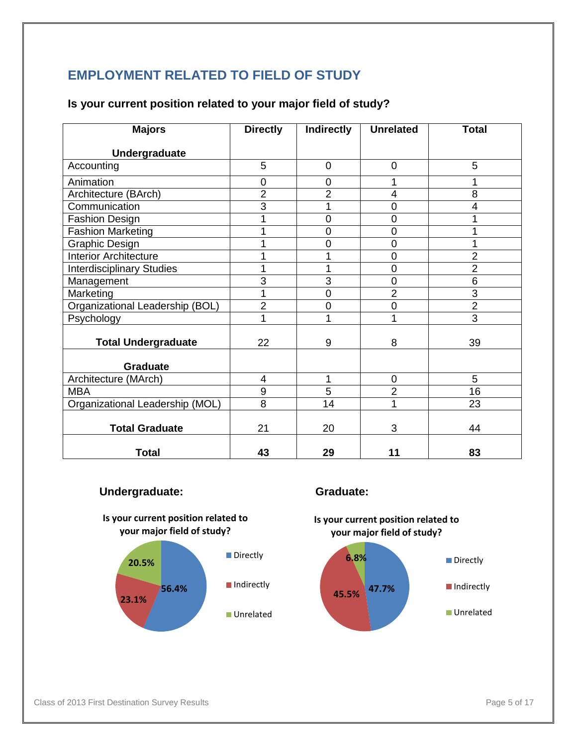## **EMPLOYMENT RELATED TO FIELD OF STUDY**

#### **Is your current position related to your major field of study?**

| <b>Majors</b>                    | <b>Directly</b> | Indirectly     | <b>Unrelated</b> | <b>Total</b>   |
|----------------------------------|-----------------|----------------|------------------|----------------|
| <b>Undergraduate</b>             |                 |                |                  |                |
| Accounting                       | 5               | 0              | 0                | 5              |
| Animation                        | $\mathbf 0$     | 0              | 1                |                |
| Architecture (BArch)             | $\overline{2}$  | $\overline{2}$ | 4                | 8              |
| Communication                    | 3               | 1              | $\mathbf 0$      | 4              |
| <b>Fashion Design</b>            | 1               | $\overline{0}$ | $\overline{0}$   |                |
| <b>Fashion Marketing</b>         | 1               | 0              | $\mathbf 0$      |                |
| <b>Graphic Design</b>            | 1               | 0              | $\mathbf 0$      |                |
| <b>Interior Architecture</b>     | 1               |                | $\overline{0}$   | $\overline{2}$ |
| <b>Interdisciplinary Studies</b> | 1               |                | $\mathbf 0$      | $\overline{2}$ |
| Management                       | 3               | 3              | $\mathbf 0$      | 6              |
| Marketing                        | 1               | 0              | $\overline{2}$   | $\overline{3}$ |
| Organizational Leadership (BOL)  | $\overline{2}$  | 0              | $\overline{0}$   | $\overline{2}$ |
| Psychology                       | 1               | 1              | 1                | $\overline{3}$ |
| <b>Total Undergraduate</b>       | 22              | 9              | 8                | 39             |
| <b>Graduate</b>                  |                 |                |                  |                |
| Architecture (MArch)             | 4               | 1              | $\overline{0}$   | 5              |
| <b>MBA</b>                       | 9               | $\overline{5}$ | $\overline{2}$   | 16             |
| Organizational Leadership (MOL)  | 8               | 14             | 1                | 23             |
| <b>Total Graduate</b>            | 21              | 20             | 3                | 44             |
| <b>Total</b>                     | 43              | 29             | 11               | 83             |

#### **Undergraduate: Graduate:**







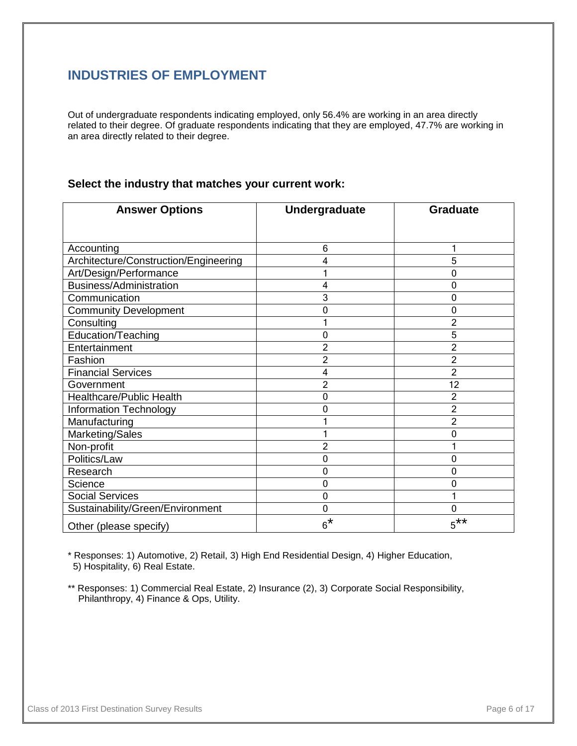## **INDUSTRIES OF EMPLOYMENT**

Out of undergraduate respondents indicating employed, only 56.4% are working in an area directly related to their degree. Of graduate respondents indicating that they are employed, 47.7% are working in an area directly related to their degree.

#### **Select the industry that matches your current work:**

| <b>Answer Options</b>                 | <b>Undergraduate</b> | <b>Graduate</b> |
|---------------------------------------|----------------------|-----------------|
|                                       |                      |                 |
| Accounting                            | 6                    |                 |
| Architecture/Construction/Engineering | 4                    | 5               |
| Art/Design/Performance                | 1                    | $\mathbf 0$     |
| <b>Business/Administration</b>        | 4                    | $\mathbf 0$     |
| Communication                         | 3                    | $\Omega$        |
| <b>Community Development</b>          | 0                    | $\Omega$        |
| Consulting                            |                      | $\overline{2}$  |
| Education/Teaching                    | 0                    | 5               |
| Entertainment                         | $\overline{2}$       | $\overline{2}$  |
| Fashion                               | 2                    | $\overline{2}$  |
| <b>Financial Services</b>             | 4                    | $\overline{2}$  |
| Government                            | $\overline{2}$       | 12              |
| Healthcare/Public Health              | 0                    | $\overline{2}$  |
| Information Technology                | 0                    | $\overline{2}$  |
| Manufacturing                         |                      | $\overline{2}$  |
| Marketing/Sales                       |                      | $\mathbf 0$     |
| Non-profit                            | $\overline{2}$       |                 |
| Politics/Law                          | 0                    | 0               |
| Research                              | 0                    | $\Omega$        |
| Science                               | 0                    | $\mathbf{0}$    |
| <b>Social Services</b>                | $\overline{0}$       |                 |
| Sustainability/Green/Environment      | 0                    | $\mathbf 0$     |
| Other (please specify)                | $6^*$                | $5***$          |

\* Responses: 1) Automotive, 2) Retail, 3) High End Residential Design, 4) Higher Education, 5) Hospitality, 6) Real Estate.

\*\* Responses: 1) Commercial Real Estate, 2) Insurance (2), 3) Corporate Social Responsibility, Philanthropy, 4) Finance & Ops, Utility.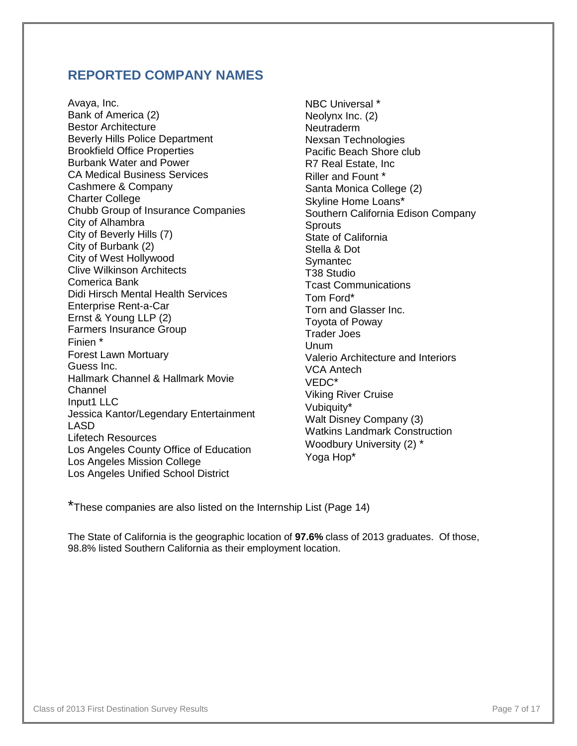## **REPORTED COMPANY NAMES**

Avaya, Inc. Bank of America (2) Bestor Architecture Beverly Hills Police Department Brookfield Office Properties Burbank Water and Power CA Medical Business Services Cashmere & Company Charter College Chubb Group of Insurance Companies City of Alhambra City of Beverly Hills (7) City of Burbank (2) City of West Hollywood Clive Wilkinson Architects Comerica Bank Didi Hirsch Mental Health Services Enterprise Rent-a-Car Ernst & Young LLP (2) Farmers Insurance Group Finien \* Forest Lawn Mortuary Guess Inc. Hallmark Channel & Hallmark Movie Channel Input1 LLC Jessica Kantor/Legendary Entertainment LASD Lifetech Resources Los Angeles County Office of Education Los Angeles Mission College Los Angeles Unified School District

NBC Universal \* Neolynx Inc. (2) **Neutraderm** Nexsan Technologies Pacific Beach Shore club R7 Real Estate, Inc Riller and Fount \* Santa Monica College (2) Skyline Home Loans\* Southern California Edison Company **Sprouts** State of California Stella & Dot **Symantec** T38 Studio Tcast Communications Tom Ford\* Torn and Glasser Inc. Toyota of Poway Trader Joes Unum Valerio Architecture and Interiors VCA Antech VEDC\* Viking River Cruise Vubiquity\* Walt Disney Company (3) Watkins Landmark Construction Woodbury University (2) \* Yoga Hop\*

\*These companies are also listed on the Internship List (Page 14)

The State of California is the geographic location of **97.6%** class of 2013 graduates. Of those, 98.8% listed Southern California as their employment location.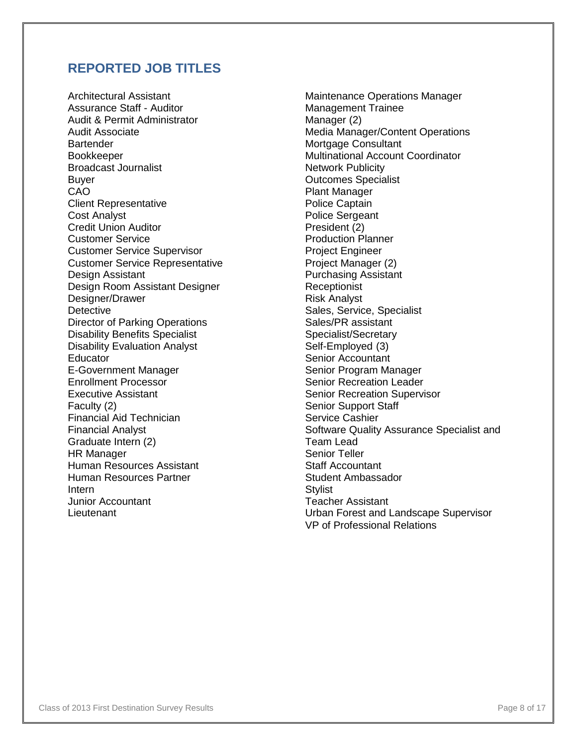## **REPORTED JOB TITLES**

Architectural Assistant Assurance Staff - Auditor Audit & Permit Administrator Audit Associate **Bartender** Bookkeeper Broadcast Journalist Buyer CAO Client Representative Cost Analyst Credit Union Auditor Customer Service Customer Service Supervisor Customer Service Representative Design Assistant Design Room Assistant Designer Designer/Drawer **Detective** Director of Parking Operations Disability Benefits Specialist Disability Evaluation Analyst **Educator** E-Government Manager Enrollment Processor Executive Assistant Faculty (2) Financial Aid Technician Financial Analyst Graduate Intern (2) HR Manager Human Resources Assistant Human Resources Partner Intern Junior Accountant Lieutenant

Maintenance Operations Manager Management Trainee Manager (2) Media Manager/Content Operations Mortgage Consultant Multinational Account Coordinator Network Publicity Outcomes Specialist Plant Manager Police Captain Police Sergeant President (2) Production Planner Project Engineer Project Manager (2) Purchasing Assistant **Receptionist** Risk Analyst Sales, Service, Specialist Sales/PR assistant Specialist/Secretary Self-Employed (3) Senior Accountant Senior Program Manager Senior Recreation Leader Senior Recreation Supervisor Senior Support Staff Service Cashier Software Quality Assurance Specialist and Team Lead Senior Teller Staff Accountant Student Ambassador **Stylist** Teacher Assistant Urban Forest and Landscape Supervisor VP of Professional Relations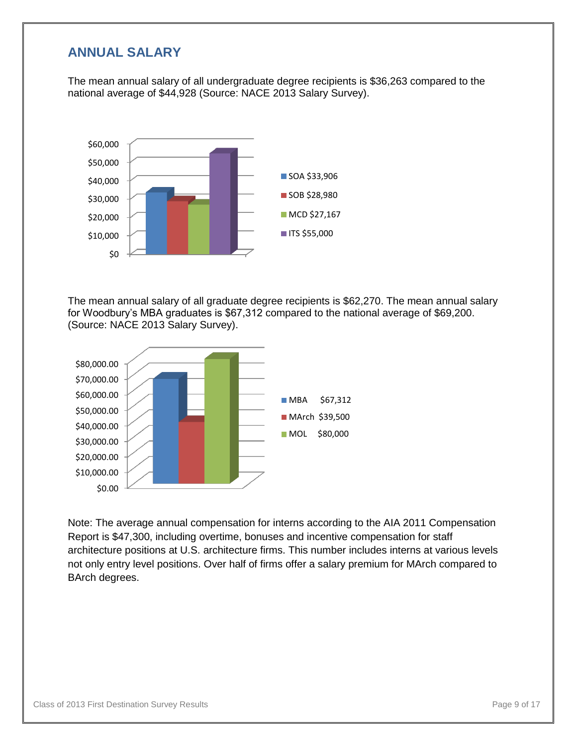## **ANNUAL SALARY**

The mean annual salary of all undergraduate degree recipients is \$36,263 compared to the national average of \$44,928 (Source: NACE 2013 Salary Survey).



The mean annual salary of all graduate degree recipients is \$62,270. The mean annual salary for Woodbury's MBA graduates is \$67,312 compared to the national average of \$69,200. (Source: NACE 2013 Salary Survey).



Note: The average annual compensation for interns according to the AIA 2011 Compensation Report is \$47,300, including overtime, bonuses and incentive compensation for staff architecture positions at U.S. architecture firms. This number includes interns at various levels not only entry level positions. Over half of firms offer a salary premium for MArch compared to BArch degrees.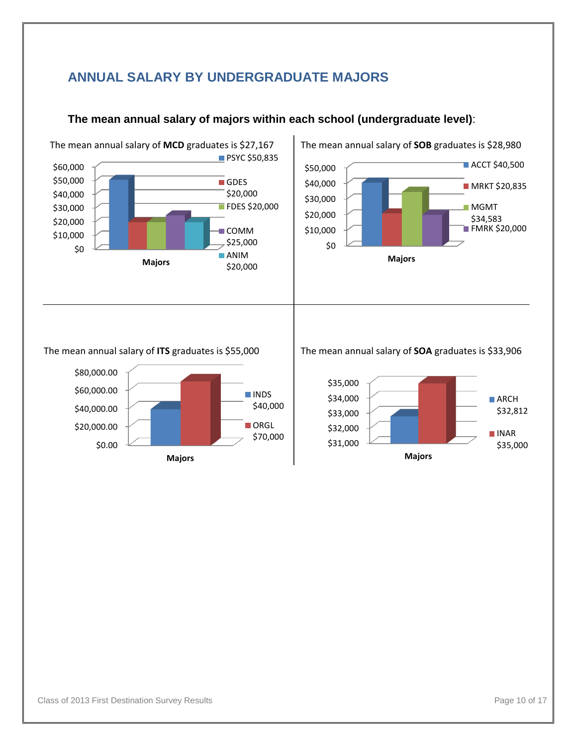## **ANNUAL SALARY BY UNDERGRADUATE MAJORS**



## **The mean annual salary of majors within each school (undergraduate level)**:

#### The mean annual salary of **ITS** graduates is \$55,000



#### The mean annual salary of **SOA** graduates is \$33,906

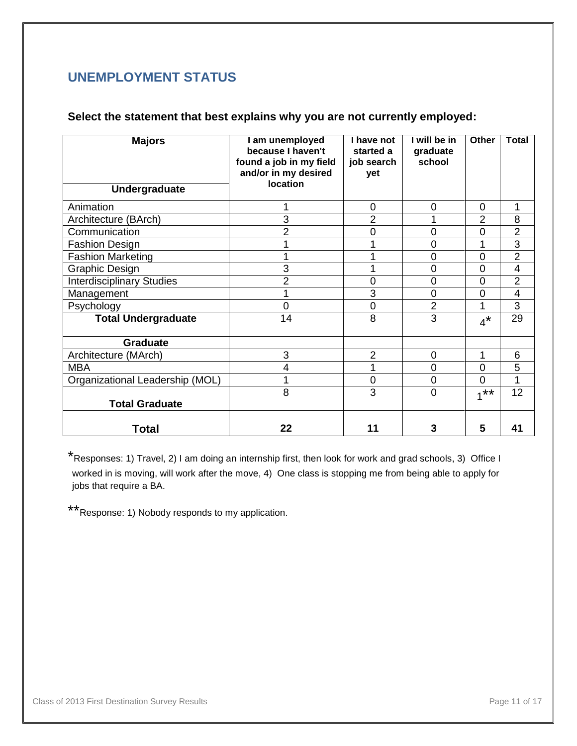## **UNEMPLOYMENT STATUS**

### **Select the statement that best explains why you are not currently employed:**

| <b>Majors</b><br>Undergraduate   | I am unemployed<br>because I haven't<br>found a job in my field<br>and/or in my desired<br>location | I have not<br>started a<br>job search<br>yet | I will be in<br>graduate<br>school | <b>Other</b>   | <b>Total</b>   |
|----------------------------------|-----------------------------------------------------------------------------------------------------|----------------------------------------------|------------------------------------|----------------|----------------|
| Animation                        |                                                                                                     | 0                                            | $\overline{0}$                     | 0              | 1              |
| Architecture (BArch)             | 3                                                                                                   | $\overline{2}$                               |                                    | $\overline{2}$ | 8              |
| Communication                    | $\overline{2}$                                                                                      | 0                                            | 0                                  | $\overline{0}$ | $\overline{2}$ |
| <b>Fashion Design</b>            |                                                                                                     |                                              | 0                                  |                | $\overline{3}$ |
| <b>Fashion Marketing</b>         |                                                                                                     |                                              | 0                                  | $\overline{0}$ | $\overline{2}$ |
| <b>Graphic Design</b>            | 3                                                                                                   |                                              | 0                                  | 0              | 4              |
| <b>Interdisciplinary Studies</b> | 2                                                                                                   | 0                                            | 0                                  | $\Omega$       | $\overline{2}$ |
| Management                       |                                                                                                     | 3                                            | $\mathbf 0$                        | 0              | 4              |
| Psychology                       | $\Omega$                                                                                            | 0                                            | $\overline{2}$                     | 1              | 3              |
| <b>Total Undergraduate</b>       | 14                                                                                                  | 8                                            | 3                                  | $4^*$          | 29             |
| <b>Graduate</b>                  |                                                                                                     |                                              |                                    |                |                |
| Architecture (MArch)             | 3                                                                                                   | $\overline{2}$                               | $\overline{0}$                     | 1              | 6              |
| <b>MBA</b>                       | 4                                                                                                   | 1                                            | $\overline{0}$                     | $\overline{0}$ | 5              |
| Organizational Leadership (MOL)  |                                                                                                     | 0                                            | $\overline{0}$                     | $\Omega$       | 1              |
| <b>Total Graduate</b>            | 8                                                                                                   | 3                                            | $\overline{0}$                     | $1***$         | 12             |
| <b>Total</b>                     | 22                                                                                                  | 11                                           | 3                                  | 5              | 41             |

\*Responses: 1) Travel, 2) I am doing an internship first, then look for work and grad schools, 3) Office I worked in is moving, will work after the move, 4) One class is stopping me from being able to apply for jobs that require a BA.

\*\*Response: 1) Nobody responds to my application.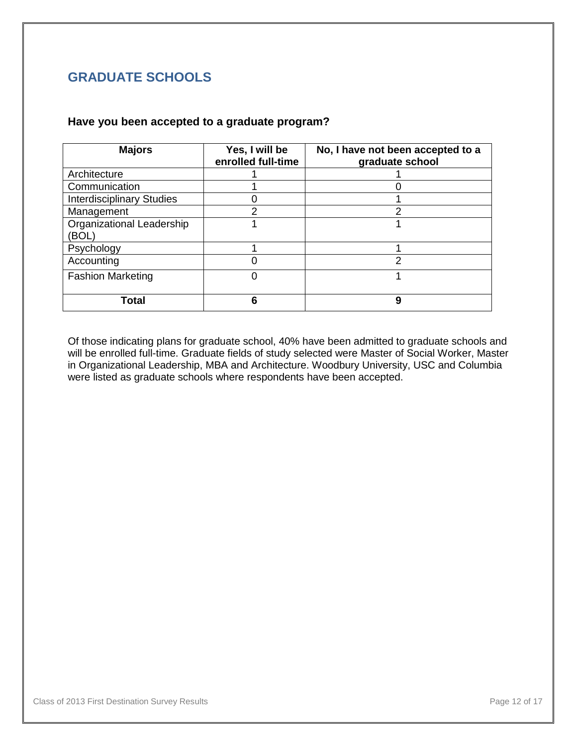## **GRADUATE SCHOOLS**

#### **Have you been accepted to a graduate program?**

| <b>Majors</b>                      | Yes, I will be<br>enrolled full-time | No, I have not been accepted to a<br>graduate school |
|------------------------------------|--------------------------------------|------------------------------------------------------|
| Architecture                       |                                      |                                                      |
| Communication                      |                                      |                                                      |
| <b>Interdisciplinary Studies</b>   |                                      |                                                      |
| Management                         | っ                                    | っ                                                    |
| Organizational Leadership<br>(BOL) |                                      |                                                      |
| Psychology                         |                                      |                                                      |
| Accounting                         |                                      | 2                                                    |
| <b>Fashion Marketing</b>           | 0                                    |                                                      |
| Total                              | 6                                    | 9                                                    |

Of those indicating plans for graduate school, 40% have been admitted to graduate schools and will be enrolled full-time. Graduate fields of study selected were Master of Social Worker, Master in Organizational Leadership, MBA and Architecture. Woodbury University, USC and Columbia were listed as graduate schools where respondents have been accepted.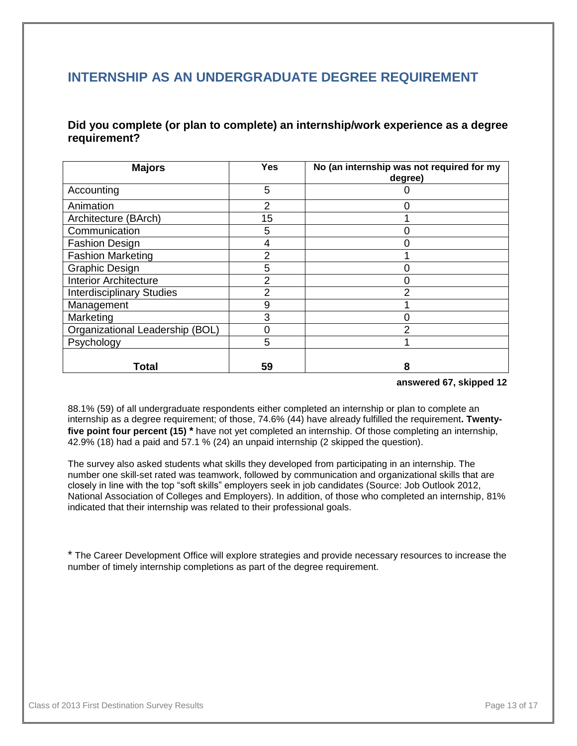## **INTERNSHIP AS AN UNDERGRADUATE DEGREE REQUIREMENT**

**Did you complete (or plan to complete) an internship/work experience as a degree requirement?**

| <b>Majors</b>                    | <b>Yes</b>     | No (an internship was not required for my<br>degree) |
|----------------------------------|----------------|------------------------------------------------------|
| Accounting                       | 5              |                                                      |
| Animation                        | $\overline{2}$ |                                                      |
| Architecture (BArch)             | 15             |                                                      |
| Communication                    | 5              |                                                      |
| <b>Fashion Design</b>            | 4              |                                                      |
| <b>Fashion Marketing</b>         | 2              |                                                      |
| <b>Graphic Design</b>            | 5              |                                                      |
| <b>Interior Architecture</b>     | 2              |                                                      |
| <b>Interdisciplinary Studies</b> | 2              | 2                                                    |
| Management                       | 9              |                                                      |
| Marketing                        | 3              |                                                      |
| Organizational Leadership (BOL)  | 0              | っ                                                    |
| Psychology                       | 5              |                                                      |
| Total                            | 59             | 8                                                    |

 **answered 67, skipped 12**

88.1% (59) of all undergraduate respondents either completed an internship or plan to complete an internship as a degree requirement; of those, 74.6% (44) have already fulfilled the requirement**. Twentyfive point four percent (15) \*** have not yet completed an internship. Of those completing an internship, 42.9% (18) had a paid and 57.1 % (24) an unpaid internship (2 skipped the question).

The survey also asked students what skills they developed from participating in an internship. The number one skill-set rated was teamwork, followed by communication and organizational skills that are closely in line with the top "soft skills" employers seek in job candidates (Source: Job Outlook 2012, National Association of Colleges and Employers). In addition, of those who completed an internship, 81% indicated that their internship was related to their professional goals.

\* The Career Development Office will explore strategies and provide necessary resources to increase the number of timely internship completions as part of the degree requirement.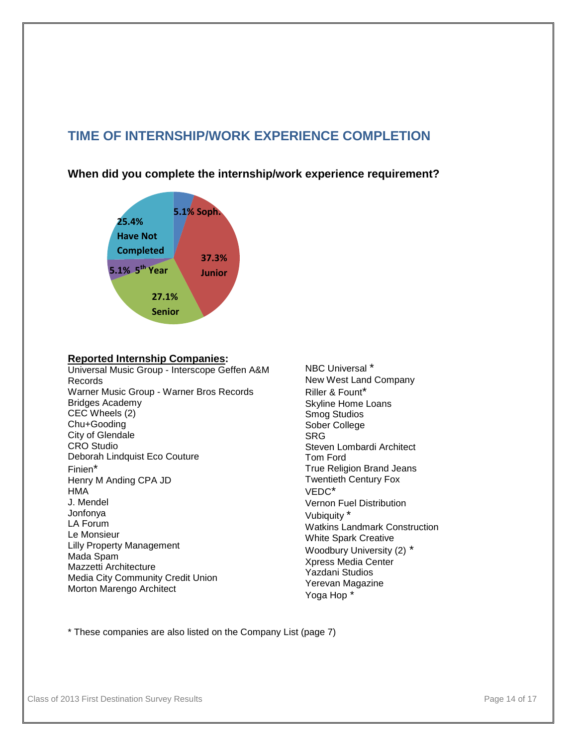## **TIME OF INTERNSHIP/WORK EXPERIENCE COMPLETION**

**When did you complete the internship/work experience requirement?**



#### **Reported Internship Companies:**

Universal Music Group - Interscope Geffen A&M Records Warner Music Group - Warner Bros Records Bridges Academy CEC Wheels (2) Chu+Gooding City of Glendale CRO Studio Deborah Lindquist Eco Couture Finien\* Henry M Anding CPA JD HMA J. Mendel Jonfonya LA Forum Le Monsieur Lilly Property Management Mada Spam Mazzetti Architecture Media City Community Credit Union Morton Marengo Architect

NBC Universal \* New West Land Company Riller & Fount\* Skyline Home Loans Smog Studios Sober College SRG Steven Lombardi Architect Tom Ford True Religion Brand Jeans Twentieth Century Fox VEDC\* Vernon Fuel Distribution Vubiquity \* Watkins Landmark Construction White Spark Creative Woodbury University (2) \* Xpress Media Center Yazdani Studios Yerevan Magazine Yoga Hop \*

\* These companies are also listed on the Company List (page 7)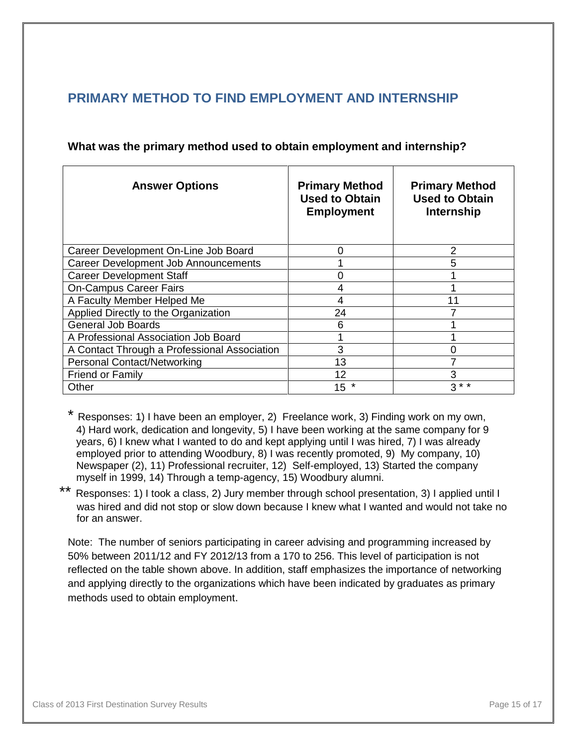## **PRIMARY METHOD TO FIND EMPLOYMENT AND INTERNSHIP**

| <b>Answer Options</b>                        | <b>Primary Method</b><br><b>Used to Obtain</b><br><b>Employment</b> | <b>Primary Method</b><br><b>Used to Obtain</b><br><b>Internship</b> |
|----------------------------------------------|---------------------------------------------------------------------|---------------------------------------------------------------------|
| Career Development On-Line Job Board         | 0                                                                   | 2                                                                   |
| <b>Career Development Job Announcements</b>  |                                                                     | 5                                                                   |
| <b>Career Development Staff</b>              | ი                                                                   |                                                                     |
| <b>On-Campus Career Fairs</b>                | 4                                                                   |                                                                     |
| A Faculty Member Helped Me                   | 4                                                                   | 11                                                                  |
| Applied Directly to the Organization         | 24                                                                  |                                                                     |
| <b>General Job Boards</b>                    | 6                                                                   |                                                                     |
| A Professional Association Job Board         |                                                                     |                                                                     |
| A Contact Through a Professional Association | 3                                                                   | 0                                                                   |
| <b>Personal Contact/Networking</b>           | 13                                                                  |                                                                     |
| <b>Friend or Family</b>                      | 12                                                                  | 3                                                                   |
| Other                                        | $15$ *                                                              | $3 \times 7$                                                        |

#### **What was the primary method used to obtain employment and internship?**

Responses: 1) I have been an employer, 2) Freelance work, 3) Finding work on my own, 4) Hard work, dedication and longevity, 5) I have been working at the same company for 9 years, 6) I knew what I wanted to do and kept applying until I was hired, 7) I was already employed prior to attending Woodbury, 8) I was recently promoted, 9) My company, 10) Newspaper (2), 11) Professional recruiter, 12) Self-employed, 13) Started the company myself in 1999, 14) Through a temp-agency, 15) Woodbury alumni.

\*\* Responses: 1) I took a class, 2) Jury member through school presentation, 3) I applied until I was hired and did not stop or slow down because I knew what I wanted and would not take no for an answer.

Note: The number of seniors participating in career advising and programming increased by 50% between 2011/12 and FY 2012/13 from a 170 to 256. This level of participation is not reflected on the table shown above. In addition, staff emphasizes the importance of networking and applying directly to the organizations which have been indicated by graduates as primary methods used to obtain employment.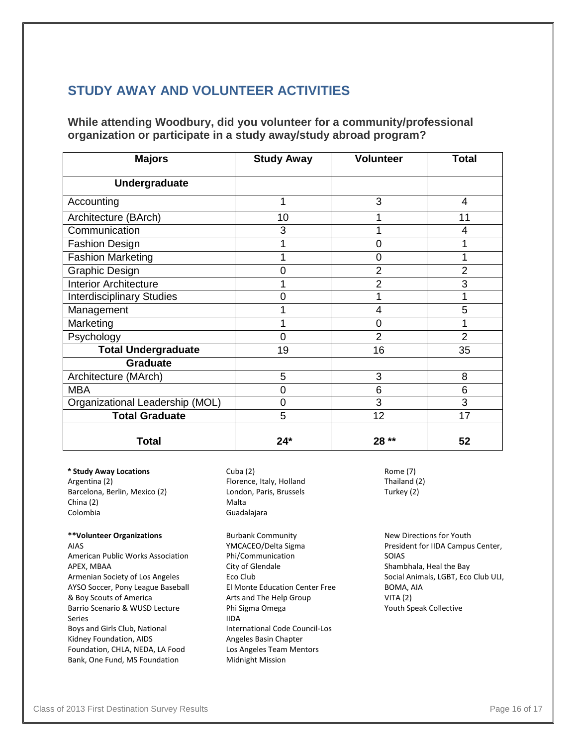## **STUDY AWAY AND VOLUNTEER ACTIVITIES**

#### **While attending Woodbury, did you volunteer for a community/professional organization or participate in a study away/study abroad program?**

| <b>Majors</b>                    | <b>Study Away</b> | <b>Volunteer</b> | <b>Total</b>   |
|----------------------------------|-------------------|------------------|----------------|
| Undergraduate                    |                   |                  |                |
| Accounting                       | 1                 | 3                | 4              |
| Architecture (BArch)             | 10                |                  | 11             |
| Communication                    | 3                 |                  | 4              |
| <b>Fashion Design</b>            |                   | 0                |                |
| <b>Fashion Marketing</b>         |                   | 0                |                |
| <b>Graphic Design</b>            | $\overline{0}$    | $\overline{2}$   | $\overline{2}$ |
| <b>Interior Architecture</b>     |                   | 2                | 3              |
| <b>Interdisciplinary Studies</b> | $\overline{0}$    |                  | 1              |
| Management                       |                   | $\overline{4}$   | 5              |
| Marketing                        |                   | 0                | 1              |
| Psychology                       | $\overline{0}$    | $\overline{2}$   | $\overline{2}$ |
| <b>Total Undergraduate</b>       | 19                | 16               | 35             |
| <b>Graduate</b>                  |                   |                  |                |
| Architecture (MArch)             | 5                 | 3                | 8              |
| <b>MBA</b>                       | $\mathbf 0$       | 6                | 6              |
| Organizational Leadership (MOL)  | $\overline{0}$    | 3                | 3              |
| <b>Total Graduate</b>            | 5                 | 12               | 17             |
| <b>Total</b>                     | $24*$             | 28 **            | 52             |

**\* Study Away Locations**  Argentina (2) Barcelona, Berlin, Mexico (2) China (2) Colombia

#### **\*\*Volunteer Organizations**

AIAS American Public Works Association APEX, MBAA Armenian Society of Los Angeles AYSO Soccer, Pony League Baseball & Boy Scouts of America Barrio Scenario & WUSD Lecture Series Boys and Girls Club, National Kidney Foundation, AIDS Foundation, CHLA, NEDA, LA Food Bank, One Fund, MS Foundation

Cuba (2) Florence, Italy, Holland London, Paris, Brussels Malta Guadalajara

Burbank Community YMCACEO/Delta Sigma Phi/Communication City of Glendale Eco Club El Monte Education Center Free Arts and The Help Group Phi Sigma Omega IIDA International Code Council-Los Angeles Basin Chapter Los Angeles Team Mentors Midnight Mission

Rome (7) Thailand (2) Turkey (2)

New Directions for Youth President for IIDA Campus Center, SOIAS Shambhala, Heal the Bay Social Animals, LGBT, Eco Club ULI, BOMA, AIA VITA (2) Youth Speak Collective